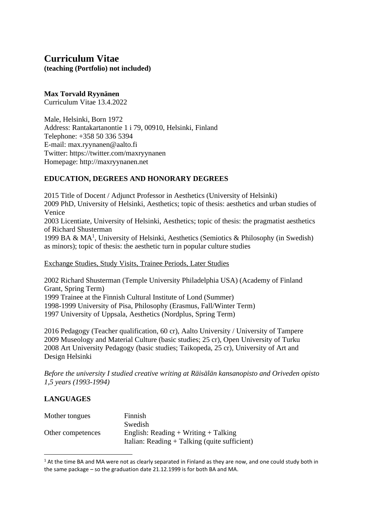# **Curriculum Vitae (teaching (Portfolio) not included)**

## **Max Torvald Ryynänen**

Curriculum Vitae 13.4.2022

Male, Helsinki, Born 1972 Address: Rantakartanontie 1 i 79, 00910, Helsinki, Finland Telephone: +358 50 336 5394 E-mail: max.ryynanen@aalto.fi Twitter: https://twitter.com/maxryynanen Homepage: http://maxryynanen.net

# **EDUCATION, DEGREES AND HONORARY DEGREES**

2015 Title of Docent / Adjunct Professor in Aesthetics (University of Helsinki) 2009 PhD, University of Helsinki, Aesthetics; topic of thesis: aesthetics and urban studies of Venice 2003 Licentiate, University of Helsinki, Aesthetics; topic of thesis: the pragmatist aesthetics of Richard Shusterman 1999 BA & MA<sup>1</sup>, University of Helsinki, Aesthetics (Semiotics & Philosophy (in Swedish) as minors); topic of thesis: the aesthetic turn in popular culture studies

Exchange Studies, Study Visits, Trainee Periods, Later Studies

2002 Richard Shusterman (Temple University Philadelphia USA) (Academy of Finland Grant, Spring Term) 1999 Trainee at the Finnish Cultural Institute of Lond (Summer) 1998-1999 University of Pisa, Philosophy (Erasmus, Fall/Winter Term) 1997 University of Uppsala, Aesthetics (Nordplus, Spring Term)

2016 Pedagogy (Teacher qualification, 60 cr), Aalto University / University of Tampere 2009 Museology and Material Culture (basic studies; 25 cr), Open University of Turku 2008 Art University Pedagogy (basic studies; Taikopeda, 25 cr), University of Art and Design Helsinki

*Before the university I studied creative writing at Räisälän kansanopisto and Oriveden opisto 1,5 years (1993-1994)*

# **LANGUAGES**

| Mother tongues    | Finnish                                         |
|-------------------|-------------------------------------------------|
|                   | Swedish                                         |
| Other competences | English: Reading + Writing + Talking            |
|                   | Italian: Reading $+$ Talking (quite sufficient) |

 $1$  At the time BA and MA were not as clearly separated in Finland as they are now, and one could study both in the same package – so the graduation date 21.12.1999 is for both BA and MA.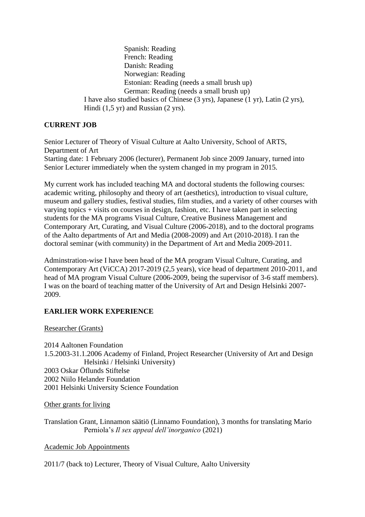Spanish: Reading French: Reading Danish: Reading Norwegian: Reading Estonian: Reading (needs a small brush up) German: Reading (needs a small brush up) I have also studied basics of Chinese (3 yrs), Japanese (1 yr), Latin (2 yrs), Hindi (1,5 yr) and Russian (2 yrs).

## **CURRENT JOB**

Senior Lecturer of Theory of Visual Culture at Aalto University, School of ARTS, Department of Art Starting date: 1 February 2006 (lecturer), Permanent Job since 2009 January, turned into Senior Lecturer immediately when the system changed in my program in 2015.

My current work has included teaching MA and doctoral students the following courses: academic writing, philosophy and theory of art (aesthetics), introduction to visual culture, museum and gallery studies, festival studies, film studies, and a variety of other courses with varying topics + visits on courses in design, fashion, etc. I have taken part in selecting students for the MA programs Visual Culture, Creative Business Management and Contemporary Art, Curating, and Visual Culture (2006-2018), and to the doctoral programs of the Aalto departments of Art and Media (2008-2009) and Art (2010-2018). I ran the doctoral seminar (with community) in the Department of Art and Media 2009-2011.

Adminstration-wise I have been head of the MA program Visual Culture, Curating, and Contemporary Art (ViCCA) 2017-2019 (2,5 years), vice head of department 2010-2011, and head of MA program Visual Culture (2006-2009, being the supervisor of 3-6 staff members). I was on the board of teaching matter of the University of Art and Design Helsinki 2007- 2009.

## **EARLIER WORK EXPERIENCE**

Researcher (Grants)

2014 Aaltonen Foundation 1.5.2003-31.1.2006 Academy of Finland, Project Researcher (University of Art and Design Helsinki / Helsinki University) 2003 Oskar Öflunds Stiftelse 2002 Niilo Helander Foundation 2001 Helsinki University Science Foundation

Other grants for living

Translation Grant, Linnamon säätiö (Linnamo Foundation), 3 months for translating Mario Perniola's *Il sex appeal dell'inorganico* (2021)

Academic Job Appointments

2011/7 (back to) Lecturer, Theory of Visual Culture, Aalto University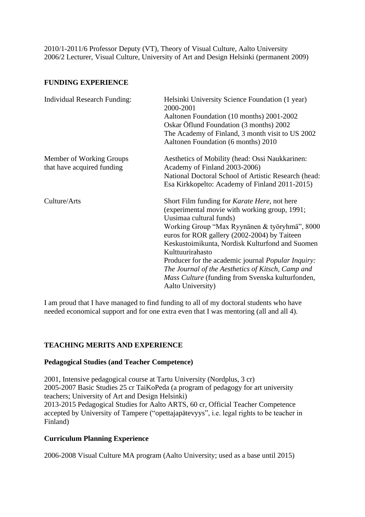2010/1-2011/6 Professor Deputy (VT), Theory of Visual Culture, Aalto University 2006/2 Lecturer, Visual Culture, University of Art and Design Helsinki (permanent 2009)

## **FUNDING EXPERIENCE**

| <b>Individual Research Funding:</b>                    | Helsinki University Science Foundation (1 year)<br>2000-2001<br>Aaltonen Foundation (10 months) 2001-2002<br>Oskar Öflund Foundation (3 months) 2002<br>The Academy of Finland, 3 month visit to US 2002<br>Aaltonen Foundation (6 months) 2010                                                                                                                                                                                                                                              |
|--------------------------------------------------------|----------------------------------------------------------------------------------------------------------------------------------------------------------------------------------------------------------------------------------------------------------------------------------------------------------------------------------------------------------------------------------------------------------------------------------------------------------------------------------------------|
| Member of Working Groups<br>that have acquired funding | Aesthetics of Mobility (head: Ossi Naukkarinen:<br>Academy of Finland 2003-2006)<br>National Doctoral School of Artistic Research (head:<br>Esa Kirkkopelto: Academy of Finland 2011-2015)                                                                                                                                                                                                                                                                                                   |
| Culture/Arts                                           | Short Film funding for Karate Here, not here<br>(experimental movie with working group, 1991;<br>Uusimaa cultural funds)<br>Working Group "Max Ryynänen & työryhmä", 8000<br>euros for ROR gallery (2002-2004) by Taiteen<br>Keskustoimikunta, Nordisk Kulturfond and Suomen<br>Kulttuurirahasto<br>Producer for the academic journal <i>Popular Inquiry</i> :<br>The Journal of the Aesthetics of Kitsch, Camp and<br>Mass Culture (funding from Svenska kulturfonden,<br>Aalto University) |

I am proud that I have managed to find funding to all of my doctoral students who have needed economical support and for one extra even that I was mentoring (all and all 4).

## **TEACHING MERITS AND EXPERIENCE**

### **Pedagogical Studies (and Teacher Competence)**

2001, Intensive pedagogical course at Tartu University (Nordplus, 3 cr) 2005-2007 Basic Studies 25 cr TaiKoPeda (a program of pedagogy for art university teachers; University of Art and Design Helsinki) 2013-2015 Pedagogical Studies for Aalto ARTS, 60 cr, Official Teacher Competence accepted by University of Tampere ("opettajapätevyys", i.e. legal rights to be teacher in Finland)

## **Curriculum Planning Experience**

2006-2008 Visual Culture MA program (Aalto University; used as a base until 2015)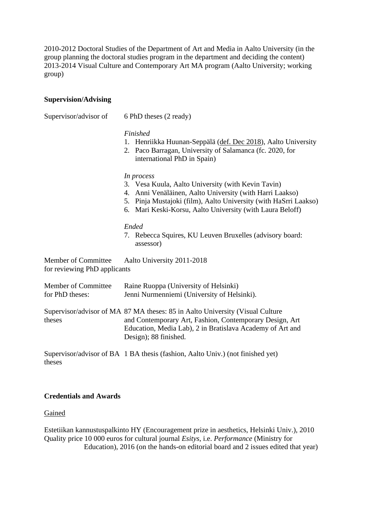2010-2012 Doctoral Studies of the Department of Art and Media in Aalto University (in the group planning the doctoral studies program in the department and deciding the content) 2013-2014 Visual Culture and Contemporary Art MA program (Aalto University; working group)

### **Supervision/Advising**

Supervisor/advisor of 6 PhD theses (2 ready) *Finished* 1. Henriikka Huunan-Seppälä (def. Dec 2018), Aalto University 2. Paco Barragan, University of Salamanca (fc. 2020, for international PhD in Spain) *In process* 3. Vesa Kuula, Aalto University (with Kevin Tavin) 4. Anni Venäläinen, Aalto University (with Harri Laakso) 5. Pinja Mustajoki (film), Aalto University (with HaSrri Laakso) 6. Mari Keski-Korsu, Aalto University (with Laura Beloff) *Ended* 7. Rebecca Squires, KU Leuven Bruxelles (advisory board: assessor) Member of Committee Aalto University 2011-2018 for reviewing PhD applicants Member of Committee Raine Ruoppa (University of Helsinki) for PhD theses: Jenni Nurmenniemi (University of Helsinki). Supervisor/advisor of MA 87 MA theses: 85 in Aalto University (Visual Culture theses and Contemporary Art, Fashion, Contemporary Design, Art Education, Media Lab), 2 in Bratislava Academy of Art and Design); 88 finished.

Supervisor/advisor of BA 1 BA thesis (fashion, Aalto Univ.) (not finished yet) theses

## **Credentials and Awards**

Gained

Estetiikan kannustuspalkinto HY (Encouragement prize in aesthetics, Helsinki Univ.), 2010 Quality price 10 000 euros for cultural journal *Esitys*, i.e. *Performance* (Ministry for Education), 2016 (on the hands-on editorial board and 2 issues edited that year)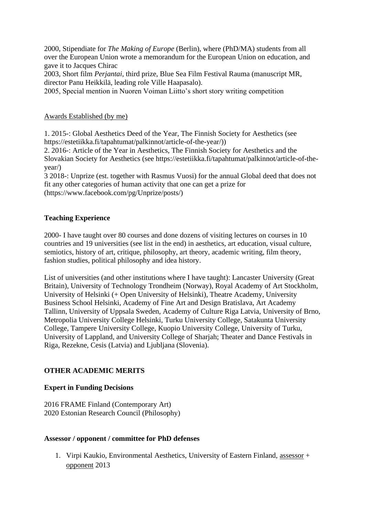2000, Stipendiate for *The Making of Europe* (Berlin), where (PhD/MA) students from all over the European Union wrote a memorandum for the European Union on education, and gave it to Jacques Chirac

2003, Short film *Perjantai*, third prize, Blue Sea Film Festival Rauma (manuscript MR, director Panu Heikkilä, leading role Ville Haapasalo).

2005, Special mention in Nuoren Voiman Liitto's short story writing competition

## Awards Established (by me)

1. 2015-: Global Aesthetics Deed of the Year, The Finnish Society for Aesthetics (see https://estetiikka.fi/tapahtumat/palkinnot/article-of-the-year/))

2. 2016-: Article of the Year in Aesthetics, The Finnish Society for Aesthetics and the Slovakian Society for Aesthetics (see https://estetiikka.fi/tapahtumat/palkinnot/article-of-theyear/)

3 2018-: Unprize (est. together with Rasmus Vuosi) for the annual Global deed that does not fit any other categories of human activity that one can get a prize for (https://www.facebook.com/pg/Unprize/posts/)

## **Teaching Experience**

2000- I have taught over 80 courses and done dozens of visiting lectures on courses in 10 countries and 19 universities (see list in the end) in aesthetics, art education, visual culture, semiotics, history of art, critique, philosophy, art theory, academic writing, film theory, fashion studies, political philosophy and idea history.

List of universities (and other institutions where I have taught): Lancaster University (Great Britain), University of Technology Trondheim (Norway), Royal Academy of Art Stockholm, University of Helsinki (+ Open University of Helsinki), Theatre Academy, University Business School Helsinki, Academy of Fine Art and Design Bratislava, Art Academy Tallinn, University of Uppsala Sweden, Academy of Culture Riga Latvia, University of Brno, Metropolia University College Helsinki, Turku University College, Satakunta University College, Tampere University College, Kuopio University College, University of Turku, University of Lappland, and University College of Sharjah; Theater and Dance Festivals in Riga, Rezekne, Cesis (Latvia) and Ljubljana (Slovenia).

## **OTHER ACADEMIC MERITS**

## **Expert in Funding Decisions**

2016 FRAME Finland (Contemporary Art) 2020 Estonian Research Council (Philosophy)

### **Assessor / opponent / committee for PhD defenses**

1. Virpi Kaukio, Environmental Aesthetics, University of Eastern Finland, assessor + opponent 2013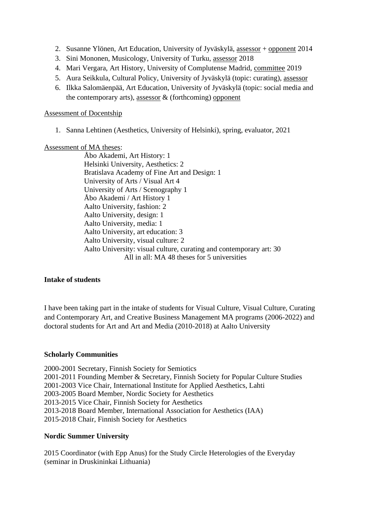- 2. Susanne Ylönen, Art Education, University of Jyväskylä, assessor + opponent 2014
- 3. Sini Mononen, Musicology, University of Turku, assessor 2018
- 4. Mari Vergara, Art History, University of Complutense Madrid, committee 2019
- 5. Aura Seikkula, Cultural Policy, University of Jyväskylä (topic: curating), assessor
- 6. Ilkka Salomäenpää, Art Education, University of Jyväskylä (topic: social media and the contemporary arts), assessor  $\&$  (forthcoming) opponent

### Assessment of Docentship

1. Sanna Lehtinen (Aesthetics, University of Helsinki), spring, evaluator, 2021

## Assessment of MA theses:

Åbo Akademi, Art History: 1 Helsinki University, Aesthetics: 2 Bratislava Academy of Fine Art and Design: 1 University of Arts / Visual Art 4 University of Arts / Scenography 1 Åbo Akademi / Art History 1 Aalto University, fashion: 2 Aalto University, design: 1 Aalto University, media: 1 Aalto University, art education: 3 Aalto University, visual culture: 2 Aalto University: visual culture, curating and contemporary art: 30 All in all: MA 48 theses for 5 universities

## **Intake of students**

I have been taking part in the intake of students for Visual Culture, Visual Culture, Curating and Contemporary Art, and Creative Business Management MA programs (2006-2022) and doctoral students for Art and Art and Media (2010-2018) at Aalto University

## **Scholarly Communities**

2000-2001 Secretary, Finnish Society for Semiotics 2001-2011 Founding Member & Secretary, Finnish Society for Popular Culture Studies 2001-2003 Vice Chair, International Institute for Applied Aesthetics, Lahti 2003-2005 Board Member, Nordic Society for Aesthetics 2013-2015 Vice Chair, Finnish Society for Aesthetics 2013-2018 Board Member, International Association for Aesthetics (IAA) 2015-2018 Chair, Finnish Society for Aesthetics

## **Nordic Summer University**

2015 Coordinator (with Epp Anus) for the Study Circle Heterologies of the Everyday (seminar in Druskininkai Lithuania)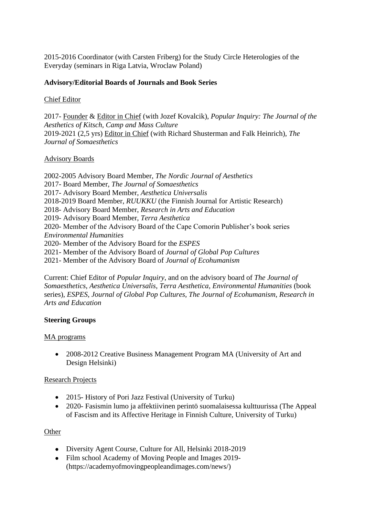2015-2016 Coordinator (with Carsten Friberg) for the Study Circle Heterologies of the Everyday (seminars in Riga Latvia, Wroclaw Poland)

## **Advisory/Editorial Boards of Journals and Book Series**

## Chief Editor

2017- Founder & Editor in Chief (with Jozef Kovalcik), *Popular Inquiry: The Journal of the Aesthetics of Kitsch, Camp and Mass Culture* 2019-2021 (2,5 yrs) Editor in Chief (with Richard Shusterman and Falk Heinrich), *The Journal of Somaesthetics*

## Advisory Boards

2002-2005 Advisory Board Member, *The Nordic Journal of Aesthetics* 2017- Board Member, *The Journal of Somaesthetics* 2017- Advisory Board Member, *Aesthetica Universalis* 2018-2019 Board Member, *RUUKKU* (the Finnish Journal for Artistic Research) 2018- Advisory Board Member, *Research in Arts and Education* 2019- Advisory Board Member, *Terra Aesthetica* 2020- Member of the Advisory Board of the Cape Comorin Publisher's book series *Environmental Humanities* 2020- Member of the Advisory Board for the *ESPES* 2021- Member of the Advisory Board of *Journal of Global Pop Cultures* 2021- Member of the Advisory Board of *Journal of Ecohumanism*

Current: Chief Editor of *Popular Inquiry*, and on the advisory board of *The Journal of Somaesthetics*, *Aesthetica Universalis*, *Terra Aesthetica*, *Environmental Humanities* (book series), *ESPES*, *Journal of Global Pop Cultures*, *The Journal of Ecohumanism*, *Research in Arts and Education*

## **Steering Groups**

### MA programs

• 2008-2012 Creative Business Management Program MA (University of Art and Design Helsinki)

### Research Projects

- 2015- History of Pori Jazz Festival (University of Turku)
- 2020- Fasismin lumo ja affektiivinen perintö suomalaisessa kulttuurissa (The Appeal of Fascism and its Affective Heritage in Finnish Culture, University of Turku)

**Other** 

- Diversity Agent Course, Culture for All, Helsinki 2018-2019
- Film school Academy of Moving People and Images 2019-(https://academyofmovingpeopleandimages.com/news/)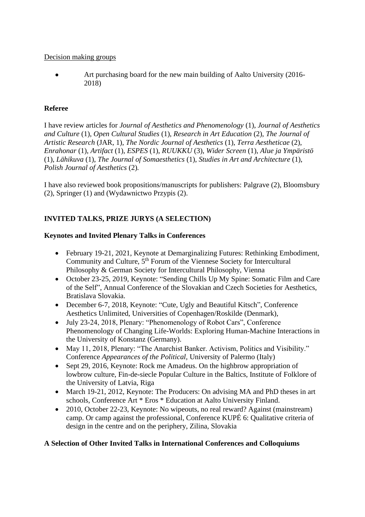## Decision making groups

• Art purchasing board for the new main building of Aalto University (2016-2018)

## **Referee**

I have review articles for *Journal of Aesthetics and Phenomenology* (1), *Journal of Aesthetics and Culture* (1), *Open Cultural Studies* (1), *Research in Art Education* (2), *The Journal of Artistic Research* (JAR, 1), *The Nordic Journal of Aesthetics* (1), *Terra Aestheticae* (2), *Enrahonar* (1), *Artifact* (1), *ESPES* (1), *RUUKKU* (3), *Wider Screen* (1), *Alue ja Ympäristö* (1), *Lähikuva* (1), *The Journal of Somaesthetics* (1), *Studies in Art and Architecture* (1), *Polish Journal of Aesthetics* (2)*.*

I have also reviewed book propositions/manuscripts for publishers: Palgrave (2), Bloomsbury (2), Springer (1) and (Wydawnictwo Przypis (2).

# **INVITED TALKS, PRIZE JURYS (A SELECTION)**

## **Keynotes and Invited Plenary Talks in Conferences**

- February 19-21, 2021, Keynote at Demarginalizing Futures: Rethinking Embodiment, Community and Culture, 5<sup>th</sup> Forum of the Viennese Society for Intercultural Philosophy & German Society for Intercultural Philosophy, Vienna
- October 23-25, 2019, Keynote: "Sending Chills Up My Spine: Somatic Film and Care of the Self", Annual Conference of the Slovakian and Czech Societies for Aesthetics, Bratislava Slovakia.
- December 6-7, 2018, Keynote: "Cute, Ugly and Beautiful Kitsch", Conference Aesthetics Unlimited, Universities of Copenhagen/Roskilde (Denmark),
- July 23-24, 2018, Plenary: "Phenomenology of Robot Cars", Conference Phenomenology of Changing Life-Worlds: Exploring Human-Machine Interactions in the University of Konstanz (Germany).
- May 11, 2018, Plenary: "The Anarchist Banker. Activism, Politics and Visibility." Conference *Appearances of the Political,* University of Palermo (Italy)
- Sept 29, 2016, Keynote: Rock me Amadeus. On the highbrow appropriation of lowbrow culture, Fin-de-siecle Popular Culture in the Baltics, Institute of Folklore of the University of Latvia, Riga
- March 19-21, 2012, Keynote: The Producers: On advising MA and PhD theses in art schools, Conference Art \* Eros \* Education at Aalto University Finland.
- 2010, October 22-23, Keynote: No wipeouts, no real reward? Against (mainstream) camp. Or camp against the professional, Conference KUPÉ 6: Qualitative criteria of design in the centre and on the periphery, Zilina, Slovakia

## **A Selection of Other Invited Talks in International Conferences and Colloquiums**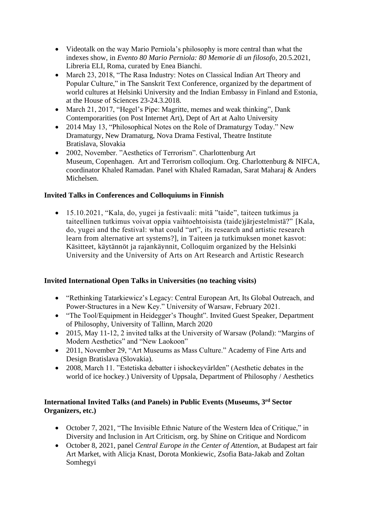- Videotalk on the way Mario Perniola's philosophy is more central than what the indexes show, in *Evento 80 Mario Perniola: 80 Memorie di un filosofo*, 20.5.2021, Libreria ELI, Roma, curated by Enea Bianchi.
- March 23, 2018, "The Rasa Industry: Notes on Classical Indian Art Theory and Popular Culture," in The Sanskrit Text Conference, organized by the department of world cultures at Helsinki University and the Indian Embassy in Finland and Estonia, at the House of Sciences 23-24.3.2018.
- March 21, 2017, "Hegel's Pipe: Magritte, memes and weak thinking", Dank Contemporarities (on Post Internet Art), Dept of Art at Aalto University
- 2014 May 13, "Philosophical Notes on the Role of Dramaturgy Today." New Dramaturgy, New Dramaturg, Nova Drama Festival, Theatre Institute Bratislava, Slovakia
- 2002, November. "Aesthetics of Terrorism". Charlottenburg Art Museum, Copenhagen. Art and Terrorism colloqium. Org. Charlottenburg & NIFCA, coordinator Khaled Ramadan. Panel with Khaled Ramadan, Sarat Maharaj & Anders Michelsen.

## **Invited Talks in Conferences and Colloquiums in Finnish**

• 15.10.2021, "Kala, do, yugei ja festivaali: mitä "taide", taiteen tutkimus ja taiteellinen tutkimus voivat oppia vaihtoehtoisista (taide)järjestelmistä?" [Kala, do, yugei and the festival: what could "art", its research and artistic research learn from alternative art systems?], in Taiteen ja tutkimuksen monet kasvot: Käsitteet, käytännöt ja rajankäynnit, Colloquim organized by the Helsinki University and the University of Arts on Art Research and Artistic Research

# **Invited International Open Talks in Universities (no teaching visits)**

- "Rethinking Tatarkiewicz's Legacy: Central European Art, Its Global Outreach, and Power-Structures in a New Key." University of Warsaw, February 2021.
- "The Tool/Equipment in Heidegger's Thought". Invited Guest Speaker, Department of Philosophy, University of Tallinn, March 2020
- 2015, May 11-12, 2 invited talks at the University of Warsaw (Poland): "Margins of Modern Aesthetics" and "New Laokoon"
- 2011, November 29, "Art Museums as Mass Culture." Academy of Fine Arts and Design Bratislava (Slovakia).
- 2008, March 11. "Estetiska debatter i ishockeyvärlden" (Aesthetic debates in the world of ice hockey.) University of Uppsala, Department of Philosophy / Aesthetics

## **International Invited Talks (and Panels) in Public Events (Museums, 3 rd Sector Organizers, etc.)**

- October 7, 2021, "The Invisible Ethnic Nature of the Western Idea of Critique," in Diversity and Inclusion in Art Criticism, org. by Shine on Critique and Nordicom
- October 8, 2021, panel *Central Europe in the Center of Attention*, at Budapest art fair Art Market, with Alicja Knast, Dorota Monkiewic, Zsofia Bata-Jakab and Zoltan Somhegyi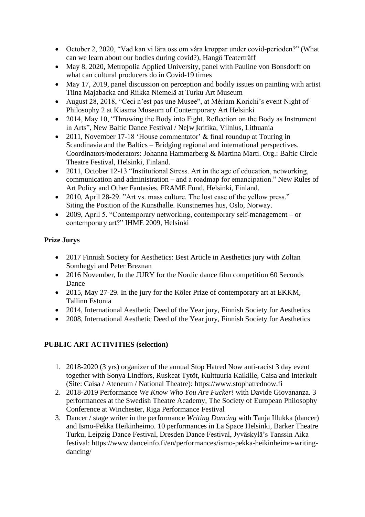- October 2, 2020, "Vad kan vi lära oss om våra kroppar under covid-perioden?" (What can we learn about our bodies during covid?), Hangö Teaterträff
- May 8, 2020, Metropolia Applied University, panel with Pauline von Bonsdorff on what can cultural producers do in Covid-19 times
- May 17, 2019, panel discussion on perception and bodily issues on painting with artist Tiina Majabacka and Riikka Niemelä at Turku Art Museum
- August 28, 2018, "Ceci n'est pas une Musee", at Mériam Korichi's event Night of Philosophy 2 at Kiasma Museum of Contemporary Art Helsinki
- 2014, May 10, "Throwing the Body into Fight. Reflection on the Body as Instrument in Arts", New Baltic Dance Festival / Ne[w]kritika, Vilnius, Lithuania
- 2011, November 17-18 'House commentator' & final roundup at Touring in Scandinavia and the Baltics – Bridging regional and international perspectives. Coordinators/moderators: Johanna Hammarberg & Martina Marti. Org.: Baltic Circle Theatre Festival, Helsinki, Finland.
- 2011, October 12-13 "Institutional Stress. Art in the age of education, networking, communication and administration – and a roadmap for emancipation." New Rules of Art Policy and Other Fantasies. FRAME Fund, Helsinki, Finland.
- 2010, April 28-29. "Art vs. mass culture. The lost case of the yellow press." Siting the Position of the Kunsthalle. Kunstnernes hus, Oslo, Norway.
- 2009, April 5. "Contemporary networking, contemporary self-management or contemporary art?" IHME 2009, Helsinki

# **Prize Jurys**

- 2017 Finnish Society for Aesthetics: Best Article in Aesthetics jury with Zoltan Somhegyi and Peter Breznan
- 2016 November, In the JURY for the Nordic dance film competition 60 Seconds Dance
- 2015, May 27-29. In the jury for the [Köler Prize](http://www.ekkm.ee/en/naitused/koler-prize-2015-exhibition-of-nominees/) of contemporary art at EKKM. Tallinn Estonia
- 2014, International Aesthetic Deed of the Year jury, Finnish Society for Aesthetics
- 2008, International Aesthetic Deed of the Year jury, Finnish Society for Aesthetics

# **PUBLIC ART ACTIVITIES (selection)**

- 1. 2018-2020 (3 yrs) organizer of the annual Stop Hatred Now anti-racist 3 day event together with Sonya Lindfors, Ruskeat Tytöt, Kulttuuria Kaikille, Caisa and Interkult (Site: Caisa / Ateneum / National Theatre): https://www.stophatrednow.fi
- 2. 2018-2019 Performance *We Know Who You Are Fucker!* with Davide Giovananza. 3 performances at the Swedish Theatre Academy, The Society of European Philosophy Conference at Winchester, Riga Performance Festival
- 3. Dancer / stage writer in the performance *Writing Dancing* with Tanja Illukka (dancer) and Ismo-Pekka Heikinheimo. 10 performances in La Space Helsinki, Barker Theatre Turku, Leipzig Dance Festival, Dresden Dance Festival, Jyväskylä's Tanssin Aika festival: https://www.danceinfo.fi/en/performances/ismo-pekka-heikinheimo-writingdancing/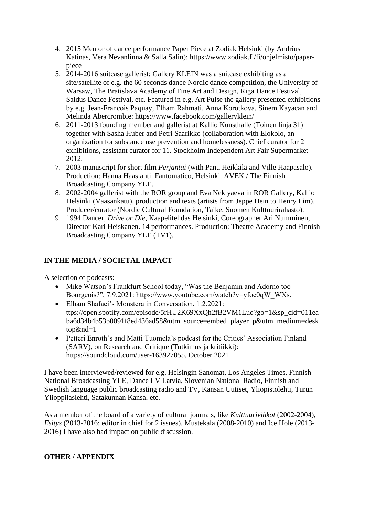- 4. 2015 Mentor of dance performance Paper Piece at Zodiak Helsinki (by Andrius Katinas, Vera Nevanlinna & Salla Salin): https://www.zodiak.fi/fi/ohjelmisto/paperpiece
- 5. 2014-2016 suitcase gallerist: Gallery KLEIN was a suitcase exhibiting as a site/satellite of e.g. the 60 seconds dance Nordic dance competition, the University of Warsaw, The Bratislava Academy of Fine Art and Design, Riga Dance Festival, Saldus Dance Festival, etc. Featured in e.g. Art Pulse the gallery presented exhibitions by e.g. Jean-Francois Paquay, Elham Rahmati, Anna Korotkova, Sinem Kayacan and Melinda Abercrombie: https://www.facebook.com/galleryklein/
- 6. 2011-2013 founding member and gallerist at Kallio Kunsthalle (Toinen linja 31) together with Sasha Huber and Petri Saarikko (collaboration with Elokolo, an organization for substance use prevention and homelessness). Chief curator for 2 exhibitions, assistant curator for 11. Stockholm Independent Art Fair Supermarket 2012.
- 7. 2003 manuscript for short film *Perjantai* (with Panu Heikkilä and Ville Haapasalo). Production: Hanna Haaslahti. Fantomatico, Helsinki. AVEK / The Finnish Broadcasting Company YLE.
- 8. 2002-2004 gallerist with the ROR group and Eva Neklyaeva in ROR Gallery, Kallio Helsinki (Vaasankatu), production and texts (artists from Jeppe Hein to Henry Lim). Producer/curator (Nordic Cultural Foundation, Taike, Suomen Kulttuurirahasto).
- 9. 1994 Dancer, *Drive or Die*, Kaapelitehdas Helsinki, Coreographer Ari Numminen, Director Kari Heiskanen. 14 performances. Production: Theatre Academy and Finnish Broadcasting Company YLE (TV1).

# **IN THE MEDIA / SOCIETAL IMPACT**

A selection of podcasts:

- Mike Watson's Frankfurt School today, "Was the Benjamin and Adorno too Bourgeois?", 7.9.2021: https://www.youtube.com/watch?v=yfoc0qW\_WXs.
- Elham Shafaei's Monstera in Conversation, 1.2.2021: ttps://open.spotify.com/episode/5rHU2K69XxQh2fB2VM1Luq?go=1&sp\_cid=011ea ba6d34b4b53b0091f8ed436ad58&utm\_source=embed\_player\_p&utm\_medium=desk top&nd=1
- Petteri Enroth's and Matti Tuomela's podcast for the Critics' Association Finland (SARV), on Research and Critique (Tutkimus ja kritiikki): https://soundcloud.com/user-163927055, October 2021

I have been interviewed/reviewed for e.g. Helsingin Sanomat, Los Angeles Times, Finnish National Broadcasting YLE, Dance LV Latvia, Slovenian National Radio, Finnish and Swedish language public broadcasting radio and TV, Kansan Uutiset, Yliopistolehti, Turun Ylioppilaslehti, Satakunnan Kansa, etc.

As a member of the board of a variety of cultural journals, like *Kulttuurivihkot* (2002-2004), *Esitys* (2013-2016; editor in chief for 2 issues), Mustekala (2008-2010) and Ice Hole (2013- 2016) I have also had impact on public discussion.

# **OTHER / APPENDIX**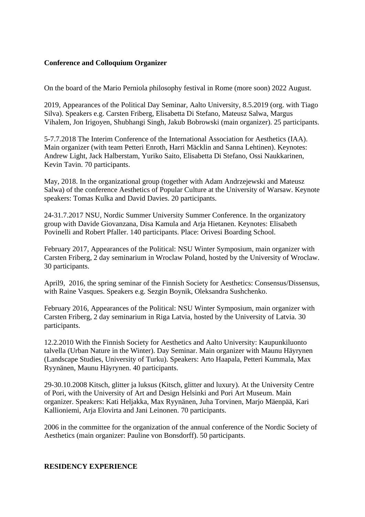## **Conference and Colloquium Organizer**

On the board of the Mario Perniola philosophy festival in Rome (more soon) 2022 August.

2019, Appearances of the Political Day Seminar, Aalto University, 8.5.2019 (org. with Tiago Silva). Speakers e.g. Carsten Friberg, Elisabetta Di Stefano, Mateusz Salwa, Margus Vihalem, Jon Irigoyen, Shubhangi Singh, Jakub Bobrowski (main organizer). 25 participants.

5-7.7.2018 The Interim Conference of the International Association for Aesthetics (IAA). Main organizer (with team Petteri Enroth, Harri Mäcklin and Sanna Lehtinen). Keynotes: Andrew Light, Jack Halberstam, Yuriko Saito, Elisabetta Di Stefano, Ossi Naukkarinen, Kevin Tavin. 70 participants.

May, 2018. In the organizational group (together with Adam Andrzejewski and Mateusz Salwa) of the conference Aesthetics of Popular Culture at the University of Warsaw. Keynote speakers: Tomas Kulka and David Davies. 20 participants.

24-31.7.2017 NSU, Nordic Summer University Summer Conference. In the organizatory group with Davide Giovanzana, Disa Kamula and Arja Hietanen. Keynotes: Elisabeth Povinelli and Robert Pfaller. 140 participants. Place: Orivesi Boarding School.

February 2017, Appearances of the Political: NSU Winter Symposium, main organizer with Carsten Friberg, 2 day seminarium in Wroclaw Poland, hosted by the University of Wroclaw. 30 participants.

April9, 2016, the spring seminar of the Finnish Society for Aesthetics: Consensus/Dissensus, with Raine Vasques. Speakers e.g. Sezgin Boynik, Oleksandra Sushchenko.

February 2016, Appearances of the Political: NSU Winter Symposium, main organizer with Carsten Friberg, 2 day seminarium in Riga Latvia, hosted by the University of Latvia. 30 participants.

12.2.2010 With the Finnish Society for Aesthetics and Aalto University: Kaupunkiluonto talvella (Urban Nature in the Winter). Day Seminar. Main organizer with Maunu Häyrynen (Landscape Studies, University of Turku). Speakers: Arto Haapala, Petteri Kummala, Max Ryynänen, Maunu Häyrynen. 40 participants.

29-30.10.2008 Kitsch, glitter ja luksus (Kitsch, glitter and luxury). At the University Centre of Pori, with the University of Art and Design Helsinki and Pori Art Museum. Main organizer. Speakers: Kati Heljakka, Max Ryynänen, Juha Torvinen, Marjo Mäenpää, Kari Kallioniemi, Arja Elovirta and Jani Leinonen. 70 participants.

2006 in the committee for the organization of the annual conference of the Nordic Society of Aesthetics (main organizer: Pauline von Bonsdorff). 50 participants.

### **RESIDENCY EXPERIENCE**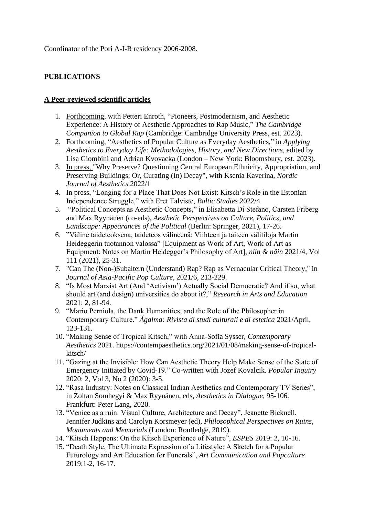Coordinator of the Pori A-I-R residency 2006-2008.

# **PUBLICATIONS**

## **A Peer-reviewed scientific articles**

- 1. Forthcoming, with Petteri Enroth, "Pioneers, Postmodernism, and Aesthetic Experience: A History of Aesthetic Approaches to Rap Music," *The Cambridge Companion to Global Rap* (Cambridge: Cambridge University Press, est. 2023).
- 2. Forthcoming, "Aesthetics of Popular Culture as Everyday Aesthetics," in *Applying Aesthetics to Everyday Life: Methodologies, History, and New Directions*, edited by Lisa Giombini and Adrian Kvovacka (London – New York: Bloomsbury, est. 2023).
- 3. In press, "Why Preserve? Questioning Central European Ethnicity, Appropriation, and Preserving Buildings; Or, Curating (In) Decay", with Ksenia Kaverina, *Nordic Journal of Aesthetics* 2022/1
- 4. In press, "Longing for a Place That Does Not Exist: Kitsch's Role in the Estonian Independence Struggle," with Eret Talviste, *Baltic Studies* 2022/4.
- 5. "Political Concepts as Aesthetic Concepts," in Elisabetta Di Stefano, Carsten Friberg and Max Ryynänen (co-eds), *Aesthetic Perspectives on Culture, Politics, and Landscape: Appearances of the Political* (Berlin: Springer, 2021), 17-26.
- 6. "Väline taideteoksena, taideteos välineenä: Viihteen ja taiteen välitiloja Martin Heideggerin tuotannon valossa" [Equipment as Work of Art, Work of Art as Equipment: Notes on Martin Heidegger's Philosophy of Art], *niin & näin* 2021/4, Vol 111 (2021), 25-31.
- 7. "Can The (Non-)Subaltern (Understand) Rap? Rap as Vernacular Critical Theory," in *Journal of Asia-Pacific Pop Culture*, 2021/6, 213-229.
- 8. "Is Most Marxist Art (And 'Activism') Actually Social Democratic? And if so, what should art (and design) universities do about it?," *Research in Arts and Education* 2021: 2, 81-94.
- 9. "Mario Perniola, the Dank Humanities, and the Role of the Philosopher in Contemporary Culture." *Ágalma: Rivista di studi culturali e di estetica* 2021/April, 123-131.
- 10. "Making Sense of Tropical Kitsch," with Anna-Sofia Sysser, *Contemporary Aesthetics* 2021. https://contempaesthetics.org/2021/01/08/making-sense-of-tropicalkitsch/
- 11. "Gazing at the Invisible: How Can Aesthetic Theory Help Make Sense of the State of Emergency Initiated by Covid-19." Co-written with Jozef Kovalcik. *Popular Inquiry* 2020: 2, Vol 3, No 2 (2020): 3-5.
- 12. "Rasa Industry: Notes on Classical Indian Aesthetics and Contemporary TV Series", in Zoltan Somhegyi & Max Ryynänen, eds, *Aesthetics in Dialogue*, 95-106*.*  Frankfurt: Peter Lang, 2020.
- 13. "Venice as a ruin: Visual Culture, Architecture and Decay", Jeanette Bicknell, Jennifer Judkins and Carolyn Korsmeyer (ed), *Philosophical Perspectives on Ruins, Monuments and Memorials* (London: Routledge, 2019).
- 14. "Kitsch Happens: On the Kitsch Experience of Nature", *ESPES* 2019: 2, 10-16.
- 15. "Death Style, The Ultimate Expression of a Lifestyle: A Sketch for a Popular Futurology and Art Education for Funerals", *Art Communication and Popculture* 2019:1-2, 16-17.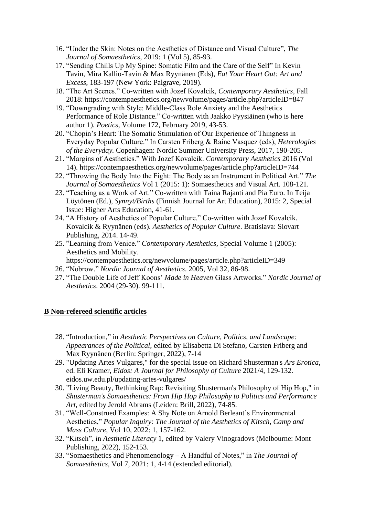- 16. "Under the Skin: Notes on the Aesthetics of Distance and Visual Culture", *The Journal of Somaesthetics*, 2019: 1 (Vol 5), 85-93.
- 17. "Sending Chills Up My Spine: Somatic Film and the Care of the Self" In Kevin Tavin, Mira Kallio-Tavin & Max Ryynänen (Eds), *Eat Your Heart Out: Art and Excess*, 183-197 (New York: Palgrave, 2019).
- 18. "The Art Scenes." Co-written with Jozef Kovalcik, *Contemporary Aesthetics*, Fall 2018: https://contempaesthetics.org/newvolume/pages/article.php?articleID=847
- 19. "Downgrading with Style: Middle-Class Role Anxiety and the Aesthetics Performance of Role Distance." Co-written with Jaakko Pyysiäinen (who is here author 1). *Poetics*, Volume 172, February 2019, 43-53.
- 20. "Chopin's Heart: The Somatic Stimulation of Our Experience of Thingness in Everyday Popular Culture." In Carsten Friberg & Raine Vasquez (eds), *Heterologies of the Everyday.* Copenhagen: Nordic Summer University Press, 2017, 190-205.
- 21. "Margins of Aesthetics." With Jozef Kovalcik. *Contemporary Aesthetics* 2016 (Vol 14). https://contempaesthetics.org/newvolume/pages/article.php?articleID=744
- 22. "Throwing the Body Into the Fight: The Body as an Instrument in Political Art." *The Journal of Somaesthetics* Vol 1 (2015: 1): Somaesthetics and Visual Art. 108-121.
- 23. "Teaching as a Work of Art." Co-written with Taina Rajanti and Pia Euro. In Teija Löytönen (Ed.), *Synnyt/Births* (Finnish Journal for Art Education), 2015: 2, Special Issue: Higher Arts Education, 41-61.
- 24. "A History of Aesthetics of Popular Culture." Co-written with Jozef Kovalcik. Kovalcik & Ryynänen (eds). *Aesthetics of Popular Culture*. Bratislava: Slovart Publishing, 2014. 14-49.
- 25. "Learning from Venice." *Contemporary Aesthetics*, Special Volume 1 (2005): Aesthetics and Mobility.
	- https://contempaesthetics.org/newvolume/pages/article.php?articleID=349
- 26. "Nobrow." *Nordic Journal of Aesthetics*. 2005, Vol 32, 86-98.
- 27. "The Double Life of Jeff Koons' *Made in Heaven* Glass Artworks." *Nordic Journal of Aesthetics*. 2004 (29-30). 99-111.

#### **B Non-refereed scientific articles**

- 28. "Introduction," in *Aesthetic Perspectives on Culture, Politics, and Landscape: Appearances of the Political*, edited by Elisabetta Di Stefano, Carsten Friberg and Max Ryynänen (Berlin: Springer, 2022), 7-14
- 29. "Updating Artes Vulgares," for the special issue on Richard Shusterman's *Ars Erotica*, ed. Eli Kramer, *Eidos: A Journal for Philosophy of Culture* 2021/4, 129-132. eidos.uw.edu.pl/updating-artes-vulgares/
- 30. "Living Beauty, Rethinking Rap: Revisiting Shusterman's Philosophy of Hip Hop," in *Shusterman's Somaesthetics: From Hip Hop Philosophy to Politics and Performance Art*, edited by Jerold Abrams (Leiden: Brill, 2022), 74-85.
- 31. "Well-Construed Examples: A Shy Note on Arnold Berleant's Environmental Aesthetics," *Popular Inquiry: The Journal of the Aesthetics of Kitsch, Camp and Mass Culture*, Vol 10, 2022: 1, 157-162.
- 32. "Kitsch", in *Aesthetic Literacy* 1, edited by Valery Vinogradovs (Melbourne: Mont Publishing, 2022), 152-153.
- 33. "Somaesthetics and Phenomenology A Handful of Notes," in *The Journal of Somaesthetics*, Vol 7, 2021: 1, 4-14 (extended editorial).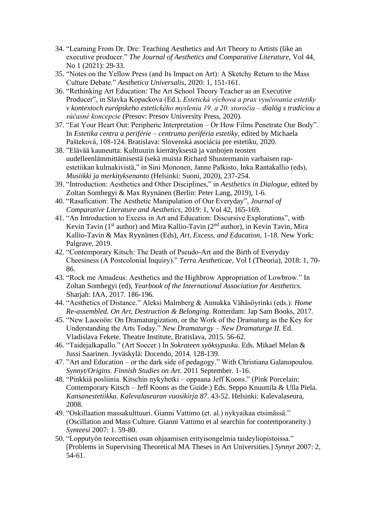- 34. "Learning From Dr. Dre: Teaching Aesthetics and Art Theory to Artists (like an executive producer." *The Journal of Aesthetics and Comparative Literature*, Vol 44, No 1 (2021): 29-33.
- 35. "Notes on the Yellow Press (and Its Impact on Art): A Sketchy Return to the Mass Culture Debate." *Aesthetica Universalis*, 2020: 1, 151-161.
- 36. "Rethinking Art Education: The Art School Theory Teacher as an Executive Producer", in Slavka Kopackova (Ed.), *[Estetická výchova a prax vyučovania estetiky](http://www.pulib.sk/web/pdf/web/viewer.html?file=/web/kniznica/elpub/dokument/Kopcakova3/subor/9788055525174.pdf)  [v kontextoch európskeho estetického myslenia 19. a 20. storočia –](http://www.pulib.sk/web/pdf/web/viewer.html?file=/web/kniznica/elpub/dokument/Kopcakova3/subor/9788055525174.pdf) dialóg s tradíciou a [súčasné koncepcie](http://www.pulib.sk/web/pdf/web/viewer.html?file=/web/kniznica/elpub/dokument/Kopcakova3/subor/9788055525174.pdf)* (Presov: Presov University Press, 2020).
- 37. "Eat Your Heart Out: Peripheric Interpretation Or How Films Penetrate Our Body". In *Estetika centra a periférie – centruma periféria estetiky,* edited by Michaela Pašteková, 108-124. Bratislava: Slovenská asociácia pre estetiku, 2020.
- 38. "Elävää kauneutta: Kulttuurin kierrätyksestä ja vanhojen teosten uudelleenlämmittämisestä (sekä muista Richard Shustermanin varhaisen rapestetiikan kulmakivistä," in Sini Mononen, Janne Palkisto, Inka Rantakallio (eds), *Musiikki ja merkityksenanto* (Helsinki: Suoni, 2020), 237-254.
- 39. "Introduction: Aesthetics and Other Disciplines," in *Aesthetics in Dialogue*, edited by Zoltan Somhegyi & Max Ryynänen (Berlin: Peter Lang, 2019), 1-6.
- 40. "Rasafication: The Aesthetic Manipulation of Our Everyday", *Journal of Comparative Literature and Aesthetics*, 2019: 1, Vol 42, 165-169.
- 41. "An Introduction to Excess in Art and Education: Discursive Explorations", with Kevin Tavin (1st author) and Mira Kallio-Tavin (2nd author), in Kevin Tavin, Mira Kallio-Tavin & Max Ryynänen (Eds), *Art, Excess, and Education*, 1-18. New York: Palgrave, 2019.
- 42. "Contemporary Kitsch: The Death of Pseudo-Art and the Birth of Everyday Cheesiness (A Postcolonial Inquiry)." *Terra Aestheticae*, Vol I (Theoria), 2018: 1, 70- 86.
- 43. "Rock me Amadeus: Aesthetics and the Highbrow Appropriation of Lowbrow." In Zoltan Somhegyi (ed), *Yearbook of the International Association for Aesthetics*. Sharjah: IAA, 2017. 186-196.
- 44. "Aesthetics of Distance." Aleksi Malmberg & Annukka Vähäsöyrinki (eds.): *Home Re-assembled. On Art, Destruction & Belonging.* Rotterdam: Jap Sam Books, 2017.
- 45. "New Laocoön: On Dramaturgization, or the Work of the Dramaturg as the Key for Understanding the Arts Today." *New Dramaturgy – New Dramaturge II.* Ed. Vladislava Fekete. Theatre Institute, Bratislava, 2015. 56-62.
- 46. "Taidejalkapallo." (Art Soccer.) In *Sokrateen syöksypusku*. Eds. Mikael Melan & Jussi Saarinen. Jyväskylä: Docendo, 2014. 128-139.
- 47. "Art and Education or the dark side of pedagogy." With Christiana Galanopoulou. *Synnyt/Origins. Finnish Studies on Art.* 2011 September. 1-16.
- 48. "Pinkkiä posliinia. Kitschin nykyhetki oppaana Jeff Koons." (Pink Porcelain: Contemporary Kitsch – Jeff Koons as the Guide.) Eds. Seppo Knuuttila & Ulla Piela. *Kansanestetiikka. Kalevalaseuran vuosikirja 87*. 43-52. Helsinki: Kalevalaseura, 2008.
- 49. "Oskillaation massakulttuuri. Gianni Vattimo (et. al.) nykyaikaa etsimässä." (Oscillation and Mass Culture. Gianni Vattimo et al searchin for contemporaneity.) *Synteesi* 2007: 1. 59-80.
- 50. "Lopputyön teoreettisen osan ohjaamisen erityisongelmia taideyliopistoissa." [Problems in Supervising Theoretical MA Theses in Art Universities.] *Synnyt* 2007: 2, 54-61.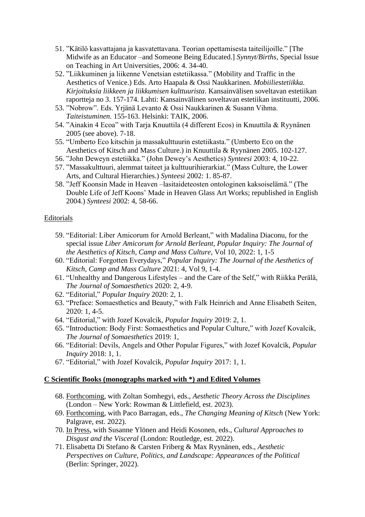- 51. "Kätilö kasvattajana ja kasvatettavana. Teorian opettamisesta taiteilijoille." [The Midwife as an Educator –and Someone Being Educated.] *Synnyt/Births*, Special Issue on Teaching in Art Universities, 2006: 4. 34-40.
- 52. "Liikkuminen ja liikenne Venetsian estetiikassa." (Mobility and Traffic in the Aesthetics of Venice.) Eds. Arto Haapala & Ossi Naukkarinen. *Mobiiliestetiikka. Kirjoituksia liikkeen ja liikkumisen kulttuurista*. Kansainvälisen soveltavan estetiikan raportteja no 3. 157-174. Lahti: Kansainvälinen soveltavan estetiikan instituutti, 2006.
- 53. "Nobrow". Eds. Yrjänä Levanto & Ossi Naukkarinen & Susann Vihma. *Taiteistuminen*. 155-163. Helsinki: TAIK, 2006.
- 54. "Ainakin 4 Ecoa" with Tarja Knuuttila (4 different Ecos) in Knuuttila & Ryynänen 2005 (see above). 7-18.
- 55. "Umberto Eco kitschin ja massakulttuurin estetiikasta." (Umberto Eco on the Aesthetics of Kitsch and Mass Culture.) in Knuuttila & Ryynänen 2005. 102-127.
- 56. "John Deweyn estetiikka." (John Dewey's Aesthetics) *Synteesi* 2003: 4, 10-22.
- 57. "Massakulttuuri, alemmat taiteet ja kulttuurihierarkiat." (Mass Culture, the Lower Arts, and Cultural Hierarchies.) *Synteesi* 2002: 1. 85-87.
- 58. "Jeff Koonsin Made in Heaven –lasitaideteosten ontologinen kaksoiselämä." (The Double Life of Jeff Koons' Made in Heaven Glass Art Works; republished in English 2004.) *Synteesi* 2002: 4, 58-66.

## Editorials

- 59. "Editorial: Liber Amicorum for Arnold Berleant," with Madalina Diaconu, for the special issue *Liber Amicorum for Arnold Berleant*, *Popular Inquiry: The Journal of the Aesthetics of Kitsch, Camp and Mass Culture*, Vol 10, 2022: 1, 1-5
- 60. "Editorial: Forgotten Everydays," *Popular Inquiry: The Journal of the Aesthetics of Kitsch, Camp and Mass Culture* 2021: 4, Vol 9, 1-4.
- 61. "Unhealthy and Dangerous Lifestyles and the Care of the Self," with Riikka Perälä, *The Journal of Somaesthetics* 2020: 2, 4-9.
- 62. "Editorial," *Popular Inquiry* 2020: 2, 1.
- 63. "Preface: Somaesthetics and Beauty," with Falk Heinrich and Anne Elisabeth Seiten, 2020: 1, 4-5.
- 64. "Editorial," with Jozef Kovalcik, *Popular Inquiry* 2019: 2, 1.
- 65. "Introduction: Body First: Somaesthetics and Popular Culture," with Jozef Kovalcik, *The Journal of Somaesthetics* 2019: 1,
- 66. "Editorial: Devils, Angels and Other Popular Figures," with Jozef Kovalcik, *Popular Inquiry* 2018: 1, 1.
- 67. "Editorial," with Jozef Kovalcik, *Popular Inquiry* 2017: 1, 1.

## **C Scientific Books (monographs marked with \*) and Edited Volumes**

- 68. Forthcoming, with Zoltan Somhegyi, eds., *Aesthetic Theory Across the Disciplines* (London – New York: Rowman & Littlefield, est. 2023).
- 69. Forthcoming, with Paco Barragan, eds., *The Changing Meaning of Kitsch* (New York: Palgrave, est. 2022).
- 70. In Press, with Susanne Ylönen and Heidi Kosonen, eds., *Cultural Approaches to Disgust and the Visceral* (London: Routledge, est. 2022).
- 71. Elisabetta Di Stefano & Carsten Friberg & Max Ryynänen, eds., *Aesthetic Perspectives on Culture, Politics, and Landscape: Appearances of the Political* (Berlin: Springer, 2022).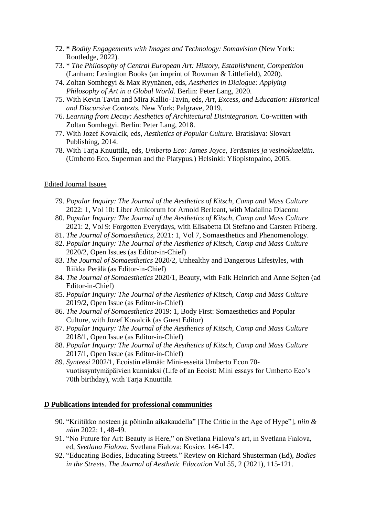- 72. **\*** *Bodily Engagements with Images and Technology: Somavision* (New York: Routledge, 2022).
- 73. \* *The Philosophy of Central European Art: History, Establishment, Competition* (Lanham: Lexington Books (an imprint of Rowman & Littlefield), 2020).
- 74. Zoltan Somhegyi & Max Ryynänen, eds, *Aesthetics in Dialogue: Applying Philosophy of Art in a Global World*. Berlin: Peter Lang, 2020.
- 75. With Kevin Tavin and Mira Kallio-Tavin, eds, *Art, Excess, and Education: Historical and Discursive Contexts.* New York: Palgrave, 2019.
- 76. *Learning from Decay: Aesthetics of Architectural Disintegration.* Co-written with Zoltan Somhegyi. Berlin: Peter Lang, 2018.
- 77. With Jozef Kovalcik, eds, *Aesthetics of Popular Culture.* Bratislava: Slovart Publishing, 2014.
- 78. With Tarja Knuuttila, eds, *Umberto Eco: James Joyce, Teräsmies ja vesinokkaeläin.* (Umberto Eco, Superman and the Platypus.) Helsinki: Yliopistopaino, 2005.

#### Edited Journal Issues

- 79. *Popular Inquiry: The Journal of the Aesthetics of Kitsch, Camp and Mass Culture*  2022: 1, Vol 10: Liber Amicorum for Arnold Berleant, with Madalina Diaconu
- 80. *Popular Inquiry: The Journal of the Aesthetics of Kitsch, Camp and Mass Culture* 2021: 2, Vol 9: Forgotten Everydays, with Elisabetta Di Stefano and Carsten Friberg.
- 81. *The Journal of Somaesthetics*, 2021: 1, Vol 7, Somaesthetics and Phenomenology*.*
- 82. *Popular Inquiry: The Journal of the Aesthetics of Kitsch, Camp and Mass Culture*  2020/2, Open Issues (as Editor-in-Chief)
- 83. *The Journal of Somaesthetics* 2020/2, Unhealthy and Dangerous Lifestyles, with Riikka Perälä (as Editor-in-Chief)
- 84. *The Journal of Somaesthetics* 2020/1, Beauty, with Falk Heinrich and Anne Sejten (ad Editor-in-Chief)
- 85. *Popular Inquiry: The Journal of the Aesthetics of Kitsch, Camp and Mass Culture* 2019/2, Open Issue (as Editor-in-Chief)
- 86. *The Journal of Somaesthetics* 2019: 1, Body First: Somaesthetics and Popular Culture, with Jozef Kovalcik (as Guest Editor)
- 87. *Popular Inquiry: The Journal of the Aesthetics of Kitsch, Camp and Mass Culture*  2018/1, Open Issue (as Editor-in-Chief)
- 88. *Popular Inquiry: The Journal of the Aesthetics of Kitsch, Camp and Mass Culture*  2017/1, Open Issue (as Editor-in-Chief)
- 89. *Synteesi* 2002/1, Ecoistin elämää: Mini-esseitä Umberto Econ 70 vuotissyntymäpäivien kunniaksi (Life of an Ecoist: Mini essays for Umberto Eco's 70th birthday), with Tarja Knuuttila

#### **D Publications intended for professional communities**

- 90. "Kriitikko nosteen ja pöhinän aikakaudella" [The Critic in the Age of Hype"], *niin & näin* 2022: 1, 48-49.
- 91. "No Future for Art: Beauty is Here," on Svetlana Fialova's art, in Svetlana Fialova, ed, *Svetlana Fialova.* Svetlana Fialova: Kosice. 146-147.
- 92. "Educating Bodies, Educating Streets." Review on Richard Shusterman (Ed), *Bodies in the Streets*. *The Journal of Aesthetic Education* Vol 55, 2 (2021), 115-121.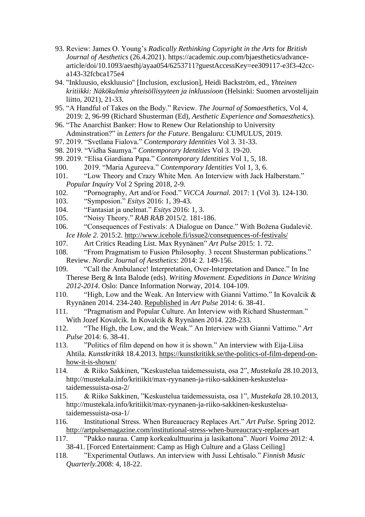- 93. Review: James O. Young's *Radically Rethinking Copyright in the Arts* for *British Journal of Aesthetics* (26.4.2021). https://academic.oup.com/bjaesthetics/advancearticle/doi/10.1093/aesthj/ayaa054/6253711?guestAccessKey=ee309117-e3f3-42cca143-32fcbca175e4
- 94. "Inkluusio, ekskluusio" [Inclusion, exclusion], Heidi Backström, ed., *Yhteinen kritiikki: Näkökulmia yhteisöllisyyteen ja inkluusioon* (Helsinki: Suomen arvostelijain liitto, 2021), 21-33.
- 95. "A Handful of Takes on the Body." Review. *The Journal of Somaesthetics,* Vol 4, 2019: 2, 96-99 (Richard Shusterman (Ed), *Aesthetic Experience and Somaesthetics*).
- 96. "The Anarchist Banker: How to Renew Our Relationship to University Adminstration?" in *Letters for the Future*. Bengaluru: CUMULUS, 2019.
- 97. 2019. "Svetlana Fialova." *Contemporary Identities* Vol 3. 31-33.
- 98. 2019. "Vidha Saumya." *Contemporary Identities* Vol 3. 19-20.
- 99. 2019. "Elisa Giardiana Papa." *Contemporary Identities* Vol 1, 5, 18.
- 100. 2019. "Maria Agureeva." *Contemporary Identities* Vol 1, 3, 6.
- 101. "Low Theory and Crazy White Men. An Interview with Jack Halberstam." *Popular Inquiry* Vol 2 Spring 2018, 2-9.
- 102. "Pornography, Art and/or Food." *ViCCA Journal.* 2017: 1 (Vol 3). 124-130.
- 103. "Symposion." *Esitys* 2016: 1, 39-43.
- 104. "Fantasiat ja unelmat." *Esitys* 2016: 1, 3.
- 105. "Noisy Theory." *RAB RAB* 2015/2. 181-186.
- 106. "Consequences of Festivals: A Dialogue on Dance." With Božena Gudalevič. *Ice Hole 2. 2015:2.*<http://www.icehole.fi/issue2/consequences-of-festivals/>
- 107. Art Critics Reading List. Max Ryynänen" *Art Pulse* 2015: 1. 72.
- 108. "From Pragmatism to Fusion Philosophy. 3 recent Shusterman publications." Review. *Nordic Journal of Aesthetics*: 2014: 2. 149-156.
- 109. "Call the Ambulance! Interpretation, Over-Interpretation and Dance." In Ine Therese Berg & Inta Balode (eds). *Writing Movement. Expeditions in Dance Writing 2012-2014*. Oslo: Dance Information Norway, 2014. 104-109.
- 110. "High, Low and the Weak. An Interview with Gianni Vattimo." In Kovalcik & Ryynänen 2014. 234-240. Republished in *Art Pulse* 2014: 6. 38-41.
- 111. "Pragmatism and Popular Culture. An Interview with Richard Shusterman." With Jozef Kovalcik. In Kovalcik & Ryynänen 2014. 228-233.
- 112. "The High, the Low, and the Weak." An Interview with Gianni Vattimo." *Art Pulse* 2014: 6. 38-41.
- 113. "Politics of film depend on how it is shown." An interview with Eija-Liisa Ahtila. *Kunstkritikk* 18.4.2013. [https://kunstkritikk.se/the-politics-of-film-depend-on](https://kunstkritikk.se/the-politics-of-film-depend-on-how-it-is-shown/)[how-it-is-shown/](https://kunstkritikk.se/the-politics-of-film-depend-on-how-it-is-shown/)
- 114. & Riiko Sakkinen, "Keskustelua taidemessuista, osa 2", *Mustekala* 28.10.2013, http://mustekala.info/kritiikit/max-ryynanen-ja-riiko-sakkinen-keskusteluataidemessuista-osa-2/
- 115. & Riiko Sakkinen, "Keskustelua taidemessuista, osa 1", *Mustekala* 28.10.2013, http://mustekala.info/kritiikit/max-ryynanen-ja-riiko-sakkinen-keskusteluataidemessuista-osa-1/
- 116. Institutional Stress. When Bureaucracy Replaces Art." *Art Pulse.* Spring 2012. <http://artpulsemagazine.com/institutional-stress-when-bureaucracy-replaces-art>
- 117. "Pakko nauraa. Camp korkeakulttuurina ja lasikattona". *Nuori Voima* 2012: 4. 38-41. [Forced Entertainment: Camp as High Culture and a Glass Ceiling]
- 118. "Experimental Outlaws. An interview with Jussi Lehtisalo." *Finnish Music Quarterly.*2008: 4, 18-22.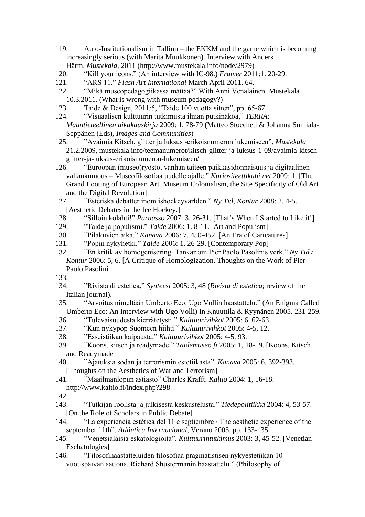- 119. Auto-Institutionalism in Tallinn the EKKM and the game which is becoming increasingly serious (with Marita Muukkonen). Interview with Anders Härm. *Mustekala*, 2011 [\(http://www.mustekala.info/node/2979\)](http://www.mustekala.info/node/2979)
- 120. "Kill your icons." (An interview with IC-98.) *Framer* 2011:1. 20-29.
- 121. "ARS 11." *Flash Art International* March April 2011. 64.
- 122. "Mikä museopedagogiikassa mättää?" With Anni Venäläinen. Mustekala 10.3.2011. (What is wrong with museum pedagogy?)
- 123. Taide & Design, 2011/5, "Taide 100 vuotta sitten", pp. 65-67
- 124. "Visuaalisen kulttuurin tutkimusta ilman putkinäköä," *TERRA: Maantieteellinen aikakauskirja* 2009: 1, 78-79 (Matteo Stoccheti & Johanna Sumiala-Seppänen (Eds), *Images and Communities*)
- 125. "Avaimia Kitsch, glitter ja luksus -erikoisnumeron lukemiseen", *Mustekala*  21.2.2009, mustekala.info/teemanumerot/kitsch-glitter-ja-luksus-1-09/avaimia-kitschglitter-ja-luksus-erikoisnumeron-lukemiseen/
- 126. "Euroopan (museo)ryöstö, vanhan taiteen paikkasidonnaisuus ja digitaalinen vallankumous – Museofilosofiaa uudelle ajalle." *Kuriositeettikabi.net* 2009: 1. [The Grand Looting of European Art. Museum Colonialism, the Site Specificity of Old Art and the Digital Revolution]
- 127. "Estetiska debatter inom ishockeyvärlden." *Ny Tid*, *Kontur* 2008: 2. 4-5. [Aesthetic Debates in the Ice Hockey.]
- 128. "Silloin kolahti!" *Parnasso* 2007: 3. 26-31. [That's When I Started to Like it!]
- 129. "Taide ja populismi." *Taide* 2006: 1. 8-11. [Art and Populism]
- 130. "Pilakuvien aika." *Kanava* 2006: 7. 450-452. [An Era of Caricatures]
- 131. "Popin nykyhetki." *Taide* 2006: 1. 26-29. [Contemporary Pop]
- 132. "En kritik av homogenisering. Tankar om Pier Paolo Pasolinis verk." *Ny Tid / Kontur* 2006: 5, 6. [A Critique of Homologization. Thoughts on the Work of Pier Paolo Pasolini]
- 133.
- 134. "Rivista di estetica," *Synteesi* 2005: 3, 48 (*Rivista di estetica*; review of the Italian journal).
- 135. "Arvoitus nimeltään Umberto Eco. Ugo Vollin haastattelu." (An Enigma Called Umberto Eco: An Interview with Ugo Volli) In Knuuttila & Ryynänen 2005. 231-259.
- 136. "Tulevaisuudesta kierrätetysti." *Kulttuurivihkot* 2005: 6, 62-63.
- 137. "Kun nykypop Suomeen hiihti." *Kulttuurivihkot* 2005: 4-5, 12.
- 138. "Esseistiikan kaipausta." *Kulttuurivihkot* 2005: 4-5, 93.
- 139. "Koons, kitsch ja readymade." *Taidemuseo.fi* 2005: 1, 18-19. [Koons, Kitsch and Readymade]
- 140. "Ajatuksia sodan ja terrorismin estetiikasta". *Kanava* 2005: 6. 392-393. [Thoughts on the Aesthetics of War and Terrorism]
- 141. "Maailmanlopun astiasto" Charles Krafft. *Kaltio* 2004: 1, 16-18.
- http://www.kaltio.fi/index.php?298
- 142.
- 143. "Tutkijan roolista ja julkisesta keskustelusta." *Tiedepolitiikka* 2004: 4, 53-57. [On the Role of Scholars in Public Debate]
- 144. "La experiencia estética del 11 e septiembre / The aesthetic experience of the september 11th". *Atlántica Internacional*, Verano 2003, pp. 133-135.
- 145. "Venetsialaisia eskatologioita". *Kulttuurintutkimus* 2003: 3, 45-52. [Venetian Eschatologies]
- 146. "Filosofihaastatteluiden filosofiaa pragmatistisen nykyestetiikan 10 vuotispäivän aattona. Richard Shustermanin haastattelu." (Philosophy of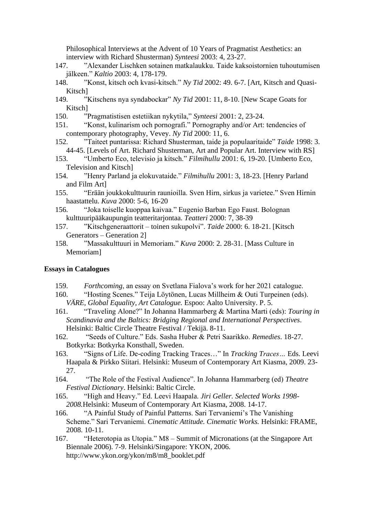Philosophical Interviews at the Advent of 10 Years of Pragmatist Aesthetics: an interview with Richard Shusterman) *Synteesi* 2003: 4, 23-27.

- 147. "Alexander Lischken sotainen matkalaukku. Taide kaksoistornien tuhoutumisen jälkeen." *Kaltio* 2003: 4, 178-179.
- 148. "Konst, kitsch och kvasi-kitsch." *Ny Tid* 2002: 49. 6-7. [Art, Kitsch and Quasi-Kitsch]
- 149. "Kitschens nya syndabockar" *Ny Tid* 2001: 11, 8-10. [New Scape Goats for Kitsch]
- 150. "Pragmatistisen estetiikan nykytila," *Synteesi* 2001: 2, 23-24.
- 151. "Konst, kulinarism och pornografi." Pornography and/or Art: tendencies of contemporary photography, Vevey. *Ny Tid* 2000: 11, 6.
- 152. "Taiteet puntarissa: Richard Shusterman, taide ja populaaritaide" *Taide* 1998: 3. 44-45. [Levels of Art. Richard Shusterman, Art and Popular Art. Interview with RS]
- 153. "Umberto Eco, televisio ja kitsch." *Filmihullu* 2001: 6, 19-20. [Umberto Eco, Television and Kitsch]
- 154. "Henry Parland ja elokuvataide." *Filmihullu* 2001: 3, 18-23. [Henry Parland and Film Art]
- 155. "Erään joukkokulttuurin raunioilla. Sven Hirn, sirkus ja varietee." Sven Hirnin haastattelu. *Kuva* 2000: 5-6, 16-20
- 156. "Joka toiselle kuoppaa kaivaa." Eugenio Barban Ego Faust. Bolognan kulttuuripääkaupungin teatteritarjontaa. *Teatteri* 2000: 7, 38-39
- 157. "Kitschgeneraattorit toinen sukupolvi". *Taide* 2000: 6. 18-21. [Kitsch Generators – Generation 2]
- 158. "Massakulttuuri in Memoriam." *Kuva* 2000: 2. 28-31. [Mass Culture in Memoriam]

#### **Essays in Catalogues**

- 159. *Forthcoming*, an essay on Svetlana Fialova's work for her 2021 catalogue.
- 160. "Hosting Scenes." Teija Löytönen, Lucas Millheim & Outi Turpeinen (eds). *VÄRE, Global Equality, Art Catalogue.* Espoo: Aalto University. P. 5.
- 161. "Traveling Alone?" In Johanna Hammarberg & Martina Marti (eds): *Touring in Scandinavia and the Baltics: Bridging Regional and International Perspectives*. Helsinki: Baltic Circle Theatre Festival / Tekijä. 8-11.
- 162. "Seeds of Culture." Eds. Sasha Huber & Petri Saarikko. *Remedies*. 18-27. Botkyrka: Botkyrka Konsthall, Sweden.
- 163. "Signs of Life. De-coding Tracking Traces…" In *Tracking Traces…* Eds. Leevi Haapala & Pirkko Siitari. Helsinki: Museum of Contemporary Art Kiasma, 2009. 23- 27.
- 164. "The Role of the Festival Audience". In Johanna Hammarberg (ed) *Theatre Festival Dictionary*. Helsinki: Baltic Circle.
- 165. "High and Heavy." Ed. Leevi Haapala. *Jiri Geller. Selected Works 1998- 2008.*Helsinki: Museum of Contemporary Art Kiasma, 2008. 14-17.
- 166. "A Painful Study of Painful Patterns. Sari Tervaniemi's The Vanishing Scheme." Sari Tervaniemi. *Cinematic Attitude. Cinematic Works.* Helsinki: FRAME, 2008. 10-11.
- 167. "Heterotopia as Utopia." M8 Summit of Micronations (at the Singapore Art Biennale 2006). 7-9. Helsinki/Singapore: YKON, 2006. http://www.ykon.org/ykon/m8/m8\_booklet.pdf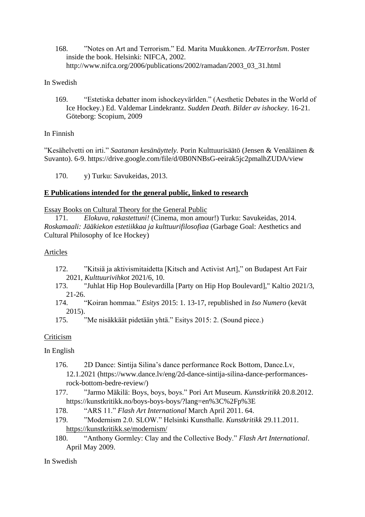168. "Notes on Art and Terrorism." Ed. Marita Muukkonen. *ArTErrorIsm*. Poster inside the book. Helsinki: NIFCA, 2002. http://www.nifca.org/2006/publications/2002/ramadan/2003\_03\_31.html

## In Swedish

169. "Estetiska debatter inom ishockeyvärlden." (Aesthetic Debates in the World of Ice Hockey.) Ed. Valdemar Lindekrantz. *Sudden Death. Bilder av ishockey*. 16-21. Göteborg: Scopium, 2009

## In Finnish

"Kesähelvetti on irti." *Saatanan kesänäyttely.* Porin Kulttuurisäätö (Jensen & Venäläinen & Suvanto). 6-9. https://drive.google.com/file/d/0B0NNBsG-eeirak5jc2pmalhZUDA/view

170. y) Turku: Savukeidas, 2013.

## **E Publications intended for the general public, linked to research**

Essay Books on Cultural Theory for the General Public

171. *Elokuva, rakastettuni!* (Cinema, mon amour!) Turku: Savukeidas, 2014. *Roskamaali: Jääkiekon estetiikkaa ja kulttuurifilosofiaa* (Garbage Goal: Aesthetics and Cultural Philosophy of Ice Hockey)

## Articles

- 172. "Kitsiä ja aktivismitaidetta [Kitsch and Activist Art]," on Budapest Art Fair 2021, *Kulttuurivihkot* 2021/6, 10.
- 173. "Juhlat Hip Hop Boulevardilla [Party on Hip Hop Boulevard]," Kaltio 2021/3, 21-26.
- 174. "Koiran hommaa." *Esitys* 2015: 1. 13-17, republished in *Iso Numero* (kevät 2015).
- 175. "Me nisäkkäät pidetään yhtä." Esitys 2015: 2. (Sound piece.)

## Criticism

## In English

- 176. 2D Dance: Sintija Silina's dance performance Rock Bottom, Dance.Lv, 12.1.2021 (https://www.dance.lv/eng/2d-dance-sintija-silina-dance-performancesrock-bottom-bedre-review/)
- 177. "Jarmo Mäkilä: Boys, boys, boys." Pori Art Museum. *Kunstkritikk* 20.8.2012. https://kunstkritikk.no/boys-boys-boys/?lang=en%3C%2Fp%3E
- 178. "ARS 11." *Flash Art International* March April 2011. 64.
- 179. "Modernism 2.0. SLOW." Helsinki Kunsthalle. *Kunstkritikk* 29.11.2011. <https://kunstkritikk.se/modernism/>
- 180. "Anthony Gormley: Clay and the Collective Body." *Flash Art International*. April May 2009.

In Swedish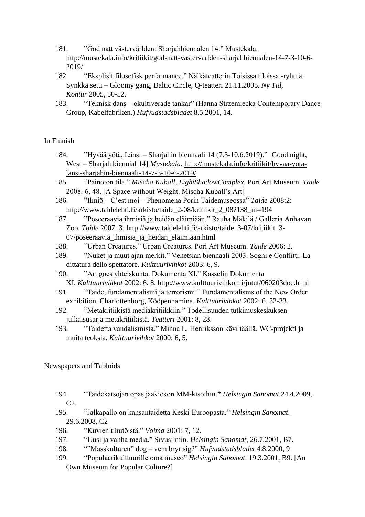- 181. "God natt västervärlden: Sharjahbiennalen 14." Mustekala. http://mustekala.info/kritiikit/god-natt-vastervarlden-sharjahbiennalen-14-7-3-10-6- 2019/
- 182. "Eksplisit filosofisk performance." Nälkäteatterin Toisissa tiloissa -ryhmä: Synkkä setti – Gloomy gang, Baltic Circle, Q-teatteri 21.11.2005. *Ny Tid, Kontur* 2005, 50-52.
- 183. "Teknisk dans okultiverade tankar" (Hanna Strzemiecka Contemporary Dance Group, Kabelfabriken.) *Hufvudstadsbladet* 8.5.2001, 14.

## In Finnish

- 184. "Hyvää yötä, Länsi Sharjahin biennaali 14 (7.3-10.6.2019)." [Good night, West – Sharjah biennial 14] *Mustekala*. [http://mustekala.info/kritiikit/hyvaa-yota](http://mustekala.info/kritiikit/hyvaa-yota-lansi-sharjahin-biennaali-14-7-3-10-6-2019/)[lansi-sharjahin-biennaali-14-7-3-10-6-2019/](http://mustekala.info/kritiikit/hyvaa-yota-lansi-sharjahin-biennaali-14-7-3-10-6-2019/)
- 185. "Painoton tila." *Mischa Kuball, LightShadowComplex,* Pori Art Museum. *Taide*  2008: 6, 48. [A Space without Weight. Mischa Kuball's Art]
- 186. "Ilmiö C'est moi Phenomena Porin Taidemuseossa" *Taide* 2008:2: http://www.taidelehti.fi/arkisto/taide\_2-08/kritiikit\_2\_08?138\_m=194
- 187. "Poseeraavia ihmisiä ja heidän eläimiään." Rauha Mäkilä / Galleria Anhavan Zoo. *Taide* 2007: 3: http://www.taidelehti.fi/arkisto/taide\_3-07/kritiikit\_3- 07/poseeraavia\_ihmisia\_ja\_heidan\_elaimiaan.html
- 188. "Urban Creatures." Urban Creatures. Pori Art Museum. *Taide* 2006: 2.
- 189. "Nuket ja muut ajan merkit." Venetsian biennaali 2003. Sogni e Conflitti. La dittatura dello spettatore. *Kulttuurivihkot* 2003: 6, 9.
- 190. "Art goes yhteiskunta. Dokumenta XI." Kasselin Dokumenta XI. *Kulttuurivihkot* 2002: 6. 8. http://www.kulttuurivihkot.fi/jutut/060203doc.html
- 191. "Taide, fundamentalismi ja terrorismi." Fundamentalisms of the New Order exhibition. Charlottenborg, Kööpenhamina. *Kulttuurivihkot* 2002: 6. 32-33.
- 192. "Metakritiikistä mediakritiikkiin." Todellisuuden tutkimuskeskuksen julkaisusarja metakritiikistä. *Teatteri* 2001: 8, 28.
- 193. "Taidetta vandalismista." Minna L. Henriksson kävi täällä. WC-projekti ja muita teoksia. *Kulttuurivihkot* 2000: 6, 5.

#### Newspapers and Tabloids

- 194. "Taidekatsojan opas jääkiekon MM-kisoihin.**"** *Helsingin Sanomat* 24.4.2009, C2.
- 195. "Jalkapallo on kansantaidetta Keski-Euroopasta." *Helsingin Sanomat*. 29.6.2008, C2
- 196. "Kuvien tihutöistä." *Voima* 2001: 7, 12.
- 197. "Uusi ja vanha media." Sivusilmin. *Helsingin Sanomat*, 26.7.2001, B7.
- 198. ""Masskulturen" dog vem bryr sig?" *Hufvudstadsbladet* 4.8.2000, 9
- 199. "Populaarikulttuurille oma museo" *Helsingin Sanomat*. 19.3.2001, B9. [An Own Museum for Popular Culture?]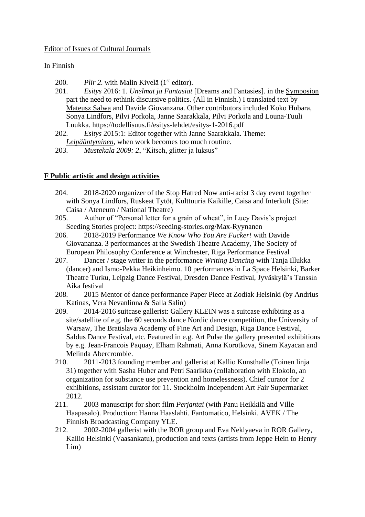## Editor of Issues of Cultural Journals

## In Finnish

- 200. *Plir 2.* with Malin Kivelä (1<sup>st</sup> editor).
- 201. *Esitys* 2016: 1. *Unelmat ja Fantasiat* [Dreams and Fantasies]. in the [Symposion](http://maxryynanen.net/wp-content/uploads/2015/04/Symposion.pdf) part the need to rethink discursive politics. (All in Finnish.) I translated text by [Mateusz Salwa](http://esitys.todellisuus.fi/kuvittele-etta-puutarhasi-on-esitys/) and Davide Giovanzana. Other contributors included Koko Hubara, Sonya Lindfors, Pilvi Porkola, Janne Saarakkala, Pilvi Porkola and Louna-Tuuli Luukka. https://todellisuus.fi/esitys-lehdet/esitys-1-2016.pdf
- 202. *Esitys* 2015:1: Editor together with Janne Saarakkala. Theme: *[Leipääntyminen,](https://todellisuus.fi/esitys-lehti/)* when work becomes too much routine.
- 203. *Mustekala 2009: 2*, "Kitsch, glitter ja luksus"

## **F Public artistic and design activities**

- 204. 2018-2020 organizer of the Stop Hatred Now anti-racist 3 day event together with Sonya Lindfors, Ruskeat Tytöt, Kulttuuria Kaikille, Caisa and Interkult (Site: Caisa / Ateneum / National Theatre)
- 205. Author of "Personal letter for a grain of wheat", in Lucy Davis's project Seeding Stories project: https://seeding-stories.org/Max-Ryynanen
- 206. 2018-2019 Performance *We Know Who You Are Fucker!* with Davide Giovananza. 3 performances at the Swedish Theatre Academy, The Society of European Philosophy Conference at Winchester, Riga Performance Festival
- 207. Dancer / stage writer in the performance *Writing Dancing* with Tanja Illukka (dancer) and Ismo-Pekka Heikinheimo. 10 performances in La Space Helsinki, Barker Theatre Turku, Leipzig Dance Festival, Dresden Dance Festival, Jyväskylä's Tanssin Aika festival
- 208. 2015 Mentor of dance performance Paper Piece at Zodiak Helsinki (by Andrius Katinas, Vera Nevanlinna & Salla Salin)
- 209. 2014-2016 suitcase gallerist: Gallery KLEIN was a suitcase exhibiting as a site/satellite of e.g. the 60 seconds dance Nordic dance competition, the University of Warsaw, The Bratislava Academy of Fine Art and Design, Riga Dance Festival, Saldus Dance Festival, etc. Featured in e.g. Art Pulse the gallery presented exhibitions by e.g. Jean-Francois Paquay, Elham Rahmati, Anna Korotkova, Sinem Kayacan and Melinda Abercrombie.
- 210. 2011-2013 founding member and gallerist at Kallio Kunsthalle (Toinen linja 31) together with Sasha Huber and Petri Saarikko (collaboration with Elokolo, an organization for substance use prevention and homelessness). Chief curator for 2 exhibitions, assistant curator for 11. Stockholm Independent Art Fair Supermarket 2012.
- 211. 2003 manuscript for short film *Perjantai* (with Panu Heikkilä and Ville Haapasalo). Production: Hanna Haaslahti. Fantomatico, Helsinki. AVEK / The Finnish Broadcasting Company YLE.
- 212. 2002-2004 gallerist with the ROR group and Eva Neklyaeva in ROR Gallery, Kallio Helsinki (Vaasankatu), production and texts (artists from Jeppe Hein to Henry Lim)